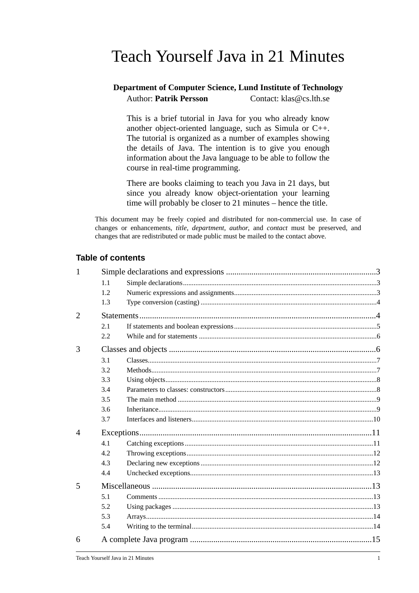# Teach Yourself Java in 21 Minutes

#### **Department of Computer Science, Lund Institute of Technology** Author: **Patrik Persson** Contact: klas@cs.lth.se

This is a brief tutorial in Java for you who already know another object-oriented language, such as Simula or C++. The tutorial is organized as a number of examples showing the details of Java. The intention is to give you enough information about the Java language to be able to follow the course in real-time programming.

There are books claiming to teach you Java in 21 days, but since you already know object-orientation your learning time will probably be closer to 21 minutes – hence the title.

This document may be freely copied and distributed for non-commercial use. In case of changes or enhancements, *title*, *department*, *author*, and *contact* must be preserved, and changes that are redistributed or made public must be mailed to the contact above.

#### **Table of contents**

| 1              |     |  |  |  |
|----------------|-----|--|--|--|
|                | 1.1 |  |  |  |
|                | 1.2 |  |  |  |
|                | 1.3 |  |  |  |
| $\overline{2}$ |     |  |  |  |
|                | 2.1 |  |  |  |
|                | 2.2 |  |  |  |
| 3              |     |  |  |  |
|                | 3.1 |  |  |  |
|                | 3.2 |  |  |  |
|                | 3.3 |  |  |  |
|                | 3.4 |  |  |  |
|                | 3.5 |  |  |  |
|                | 3.6 |  |  |  |
|                | 3.7 |  |  |  |
| $\overline{4}$ |     |  |  |  |
|                | 4.1 |  |  |  |
|                | 4.2 |  |  |  |
|                | 4.3 |  |  |  |
|                | 4.4 |  |  |  |
| 5              |     |  |  |  |
|                | 5.1 |  |  |  |
|                | 5.2 |  |  |  |
|                | 5.3 |  |  |  |
|                | 5.4 |  |  |  |
| 6              |     |  |  |  |
|                |     |  |  |  |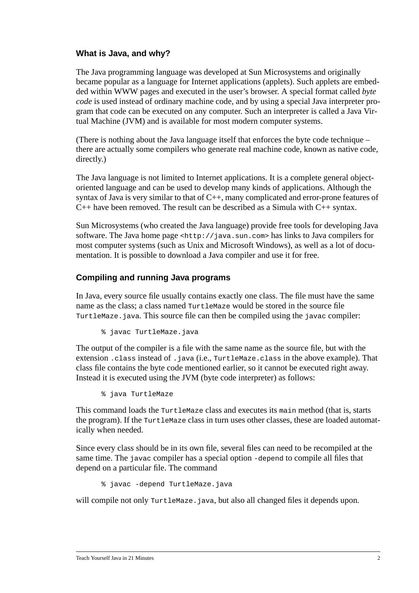#### **What is Java, and why?**

The Java programming language was developed at Sun Microsystems and originally became popular as a language for Internet applications (applets). Such applets are embedded within WWW pages and executed in the user's browser. A special format called *byte code* is used instead of ordinary machine code, and by using a special Java interpreter program that code can be executed on any computer. Such an interpreter is called a Java Virtual Machine (JVM) and is available for most modern computer systems.

(There is nothing about the Java language itself that enforces the byte code technique – there are actually some compilers who generate real machine code, known as native code, directly.)

The Java language is not limited to Internet applications. It is a complete general objectoriented language and can be used to develop many kinds of applications. Although the syntax of Java is very similar to that of C++, many complicated and error-prone features of C++ have been removed. The result can be described as a Simula with C++ syntax.

Sun Microsystems (who created the Java language) provide free tools for developing Java software. The Java home page <http://java.sun.com> has links to Java compilers for most computer systems (such as Unix and Microsoft Windows), as well as a lot of documentation. It is possible to download a Java compiler and use it for free.

#### **Compiling and running Java programs**

In Java, every source file usually contains exactly one class. The file must have the same name as the class; a class named TurtleMaze would be stored in the source file TurtleMaze.java. This source file can then be compiled using the javac compiler:

% javac TurtleMaze.java

The output of the compiler is a file with the same name as the source file, but with the extension .class instead of .java (i.e., TurtleMaze.class in the above example). That class file contains the byte code mentioned earlier, so it cannot be executed right away. Instead it is executed using the JVM (byte code interpreter) as follows:

% java TurtleMaze

This command loads the TurtleMaze class and executes its main method (that is, starts the program). If the TurtleMaze class in turn uses other classes, these are loaded automatically when needed.

Since every class should be in its own file, several files can need to be recompiled at the same time. The javac compiler has a special option -depend to compile all files that depend on a particular file. The command

% javac -depend TurtleMaze.java

will compile not only TurtleMaze.java, but also all changed files it depends upon.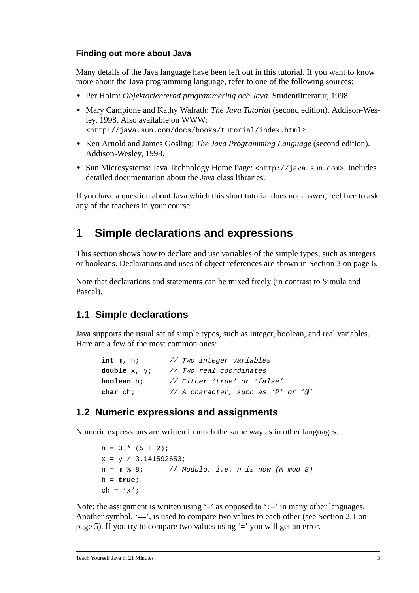#### **Finding out more about Java**

Many details of the Java language have been left out in this tutorial. If you want to know more about the Java programming language, refer to one of the following sources:

- **•** Per Holm: *Objektorienterad programmering och Java*. Studentlitteratur, 1998.
- **•** Mary Campione and Kathy Walrath: *The Java Tutorial* (second edition). Addison-Wesley, 1998. Also available on WWW: <http://java.sun.com/docs/books/tutorial/index.html>.
- **•** Ken Arnold and James Gosling: *The Java Programming Language* (second edition). Addison-Wesley, 1998.
- Sun Microsystems: Java Technology Home Page: <http://java.sun.com>. Includes detailed documentation about the Java class libraries.

If you have a question about Java which this short tutorial does not answer, feel free to ask any of the teachers in your course.

## **1 Simple declarations and expressions**

This section shows how to declare and use variables of the simple types, such as integers or booleans. Declarations and uses of object references are shown in [Section 3 on page 6.](#page-5-0)

Note that declarations and statements can be mixed freely (in contrast to Simula and Pascal).

### **1.1 Simple declarations**

Java supports the usual set of simple types, such as integer, boolean, and real variables. Here are a few of the most common ones:

```
int m, n; // Two integer variables
double x, y; // Two real coordinates
boolean b; // Either 'true' or 'false'
char ch; // A character, such as 'P' or '@'
```
#### **1.2 Numeric expressions and assignments**

Numeric expressions are written in much the same way as in other languages.

```
n = 3 * (5 + 2);
x = y / 3.141592653n = m <sup>8</sup> 8; // Modulo, i.e. n is now (m mod 8)
b = true;
ch = 'x;
```
Note: the assignment is written using  $\div$  as opposed to  $\div$   $\div$  in many other languages. Another symbol, '==', is used to compare two values to each other (see Se[ction 2.1 on](#page-4-0) [page 5\)](#page-4-0). If you try to compare two values using '=' you will get an error.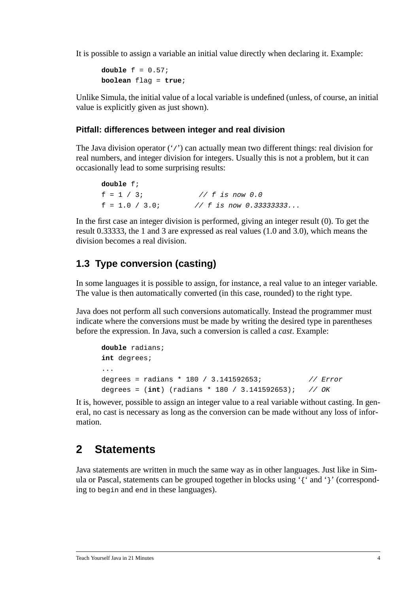It is possible to assign a variable an initial value directly when declaring it. Example:

```
double f = 0.57;
boolean flag = true;
```
Unlike Simula, the initial value of a local variable is undefined (unless, of course, an initial value is explicitly given as just shown).

#### **Pitfall: differences between integer and real division**

The Java division operator  $('')$  can actually mean two different things: real division for real numbers, and integer division for integers. Usually this is not a problem, but it can occasionally lead to some surprising results:

**double** f;  $f = 1 / 3;$  // f is now 0.0  $f = 1.0 / 3.0$ ; // f is now 0.333333333...

In the first case an integer division is performed, giving an integer result (0). To get the result 0.33333, the 1 and 3 are expressed as real values (1.0 and 3.0), which means the division becomes a real division.

## **1.3 Type conversion (casting)**

In some languages it is possible to assign, for instance, a real value to an integer variable. The value is then automatically converted (in this case, rounded) to the right type.

Java does not perform all such conversions automatically. Instead the programmer must indicate where the conversions must be made by writing the desired type in parentheses before the expression. In Java, such a conversion is called a *cast*. Example:

```
double radians;
int degrees;
...
degrees = radians * 180 / 3.141592653; // Error
degrees = (int) (radians * 180 / 3.141592653); // OK
```
It is, however, possible to assign an integer value to a real variable without casting. In general, no cast is necessary as long as the conversion can be made without any loss of information.

## **2 Statements**

Java statements are written in much the same way as in other languages. Just like in Simula or Pascal, statements can be grouped together in blocks using '{' and '}' (corresponding to begin and end in these languages).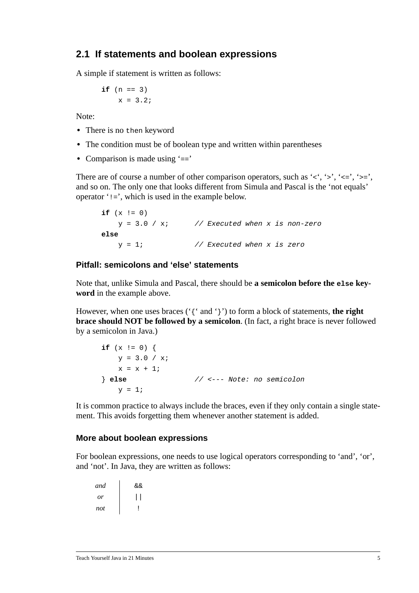#### <span id="page-4-0"></span>**2.1 If statements and boolean expressions**

A simple if statement is written as follows:

**if** 
$$
(n == 3)
$$
  
 $x = 3.2i$ 

Note:

- There is no then keyword
- The condition must be of boolean type and written within parentheses
- Comparison is made using '=='

There are of course a number of other comparison operators, such as ' $\langle \cdot, \cdot \rangle$ ', ' $\langle \cdot, \cdot \rangle$ ', ' $\langle \cdot, \cdot \rangle$ ', ' and so on. The only one that looks different from Simula and Pascal is the 'not equals' operator '!=', which is used in the example below.

if  $(x := 0)$  $y = 3.0 / x$ ; // Executed when x is non-zero **else**  $y = 1$ ;  $\frac{1}{x}$  // Executed when x is zero

#### **Pitfall: semicolons and 'else' statements**

Note that, unlike Simula and Pascal, there should be **a semicolon before the else keyword** in the example above.

However, when one uses braces ('{' and '}') to form a block of statements, **the right brace should NOT be followed by a semicolon**. (In fact, a right brace is never followed by a semicolon in Java.)

```
if (x := 0) {
   y = 3.0 / x;x = x + 1;} else // <--- Note: no semicolon
   y = 1;
```
It is common practice to always include the braces, even if they only contain a single statement. This avoids forgetting them whenever another statement is added.

#### **More about boolean expressions**

For boolean expressions, one needs to use logical operators corresponding to 'and', 'or', and 'not'. In Java, they are written as follows:

| and | && |
|-----|----|
| or  |    |
| not |    |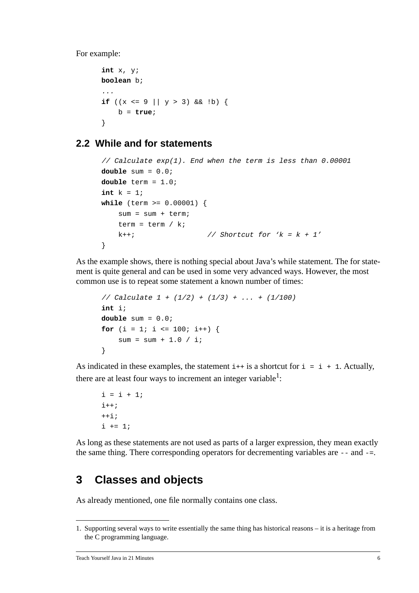<span id="page-5-0"></span>For example:

```
int x, y;
boolean b;
...
if ((x \le 9 \mid | y > 3) \& (b) \{ b = true;
}
```
#### **2.2 While and for statements**

```
// Calculate exp(1). End when the term is less than 0.00001
double sum = 0.0;
double term = 1.0;
int k = 1;
while (term >= 0.00001) {
    sum = sum + term;
    term = term / k;
    k++; \qquad \qquad \qquad // Shortcut for k = k + 1'}
```
As the example shows, there is nothing special about Java's while statement. The for statement is quite general and can be used in some very advanced ways. However, the most common use is to repeat some statement a known number of times:

```
// Calculate 1 + (1/2) + (1/3) + ... + (1/100)
int i;
double sum = 0.0;
for (i = 1; i \le 100; i++)sum = sum + 1.0 / i;
}
```
As indicated in these examples, the statement  $i++$  is a shortcut for  $i = i + 1$ . Actually, there are at least four ways to increment an integer variable<sup>1</sup>:

```
i = i + 1;i++;++i;i + = 1;
```
As long as these statements are not used as parts of a larger expression, they mean exactly the same thing. There corresponding operators for decrementing variables are -- and -=.

## **3 Classes and objects**

As already mentioned, one file normally contains one class.

<sup>1.</sup> Supporting several ways to write essentially the same thing has historical reasons – it is a heritage from the C programming language.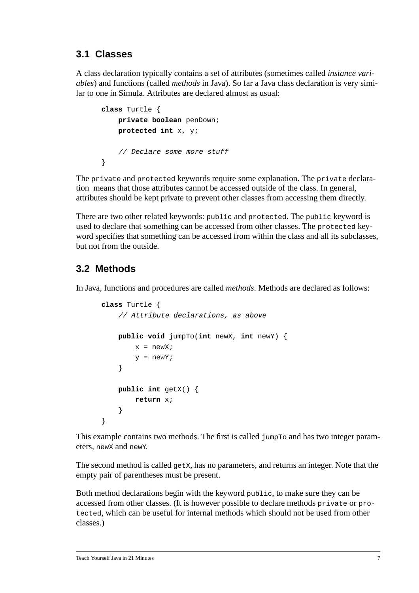### **3.1 Classes**

A class declaration typically contains a set of attributes (sometimes called *instance variables*) and functions (called *methods* in Java). So far a Java class declaration is very similar to one in Simula. Attributes are declared almost as usual:

```
class Turtle {
    private boolean penDown;
    protected int x, y;
    // Declare some more stuff
}
```
The private and protected keywords require some explanation. The private declaration means that those attributes cannot be accessed outside of the class. In general, attributes should be kept private to prevent other classes from accessing them directly.

There are two other related keywords: public and protected. The public keyword is used to declare that something can be accessed from other classes. The protected keyword specifies that something can be accessed from within the class and all its subclasses, but not from the outside.

## **3.2 Methods**

In Java, functions and procedures are called *methods*. Methods are declared as follows:

```
class Turtle {
    // Attribute declarations, as above
    public void jumpTo(int newX, int newY) {
        x = newX;y = newY }
    public int getX() {
        return x;
     }
}
```
This example contains two methods. The first is called  $\frac{1}{2}$  tump  $\frac{1}{2}$  and has two integer parameters, newX and newY.

The second method is called getX, has no parameters, and returns an integer. Note that the empty pair of parentheses must be present.

Both method declarations begin with the keyword public, to make sure they can be accessed from other classes. (It is however possible to declare methods private or protected, which can be useful for internal methods which should not be used from other classes.)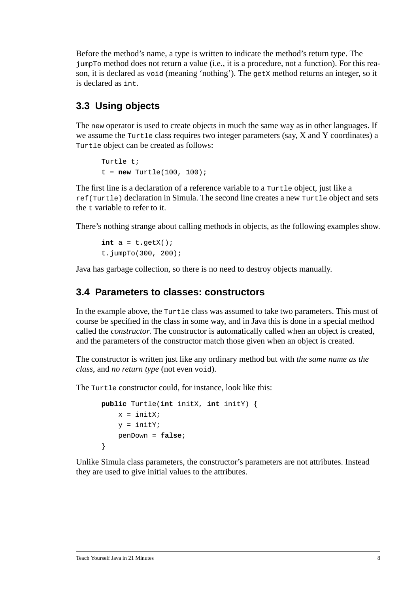Before the method's name, a type is written to indicate the method's return type. The jumpTo method does not return a value (i.e., it is a procedure, not a function). For this reason, it is declared as void (meaning 'nothing'). The get x method returns an integer, so it is declared as int.

## **3.3 Using objects**

The new operator is used to create objects in much the same way as in other languages. If we assume the Turtle class requires two integer parameters (say, X and Y coordinates) a Turtle object can be created as follows:

```
Turtle t;
t = new Turtle(100, 100);
```
The first line is a declaration of a reference variable to a Turtle object, just like a ref(Turtle) declaration in Simula. The second line creates a new Turtle object and sets the  $\pm$  variable to refer to it.

There's nothing strange about calling methods in objects, as the following examples show.

```
int a = t.getX();
t.jumpTo(300, 200);
```
Java has garbage collection, so there is no need to destroy objects manually.

#### **3.4 Parameters to classes: constructors**

In the example above, the Turtle class was assumed to take two parameters. This must of course be specified in the class in some way, and in Java this is done in a special method called the *constructor*. The constructor is automatically called when an object is created, and the parameters of the constructor match those given when an object is created.

The constructor is written just like any ordinary method but with *the same name as the class*, and *no return type* (not even void).

The Turtle constructor could, for instance, look like this:

```
public Turtle(int initX, int initY) {
    x = \text{initX};
    y = initY;
     penDown = false;
}
```
Unlike Simula class parameters, the constructor's parameters are not attributes. Instead they are used to give initial values to the attributes.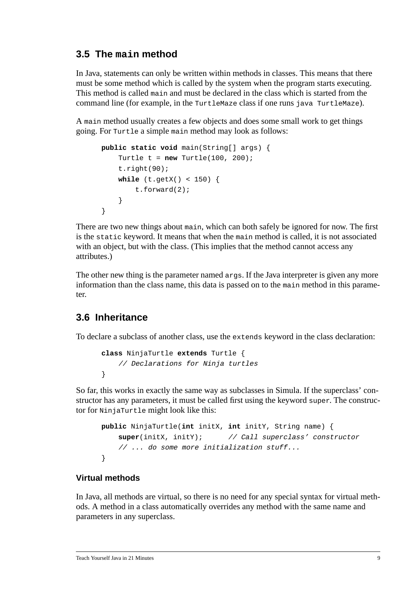### **3.5 The main method**

In Java, statements can only be written within methods in classes. This means that there must be some method which is called by the system when the program starts executing. This method is called main and must be declared in the class which is started from the command line (for example, in the TurtleMaze class if one runs java TurtleMaze).

A main method usually creates a few objects and does some small work to get things going. For Turtle a simple main method may look as follows:

```
public static void main(String[] args) {
    Turtle t = new Turtle(100, 200);
     t.right(90);
    while (t.getX() < 150) {
         t.forward(2);
     }
}
```
There are two new things about main, which can both safely be ignored for now. The first is the static keyword. It means that when the main method is called, it is not associated with an object, but with the class. (This implies that the method cannot access any attributes.)

The other new thing is the parameter named args. If the Java interpreter is given any more information than the class name, this data is passed on to the main method in this parameter.

### **3.6 Inheritance**

To declare a subclass of another class, use the extends keyword in the class declaration:

```
class NinjaTurtle extends Turtle {
    // Declarations for Ninja turtles
}
```
So far, this works in exactly the same way as subclasses in Simula. If the superclass' constructor has any parameters, it must be called first using the keyword super. The constructor for NinjaTurtle might look like this:

```
public NinjaTurtle(int initX, int initY, String name) {
    super(initX, initY); // Call superclass' constructor
    // ... do some more initialization stuff...
}
```
#### **Virtual methods**

In Java, all methods are virtual, so there is no need for any special syntax for virtual methods. A method in a class automatically overrides any method with the same name and parameters in any superclass.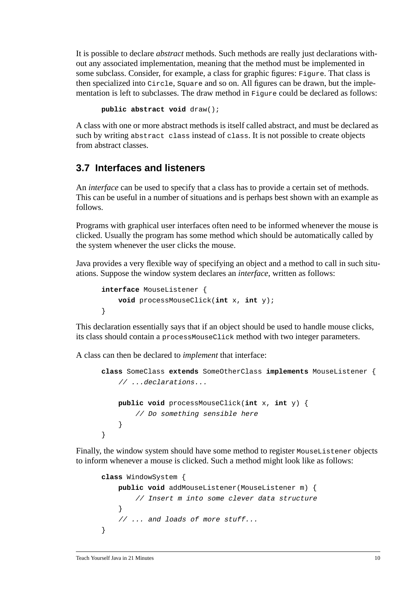It is possible to declare *abstract* methods. Such methods are really just declarations without any associated implementation, meaning that the method must be implemented in some subclass. Consider, for example, a class for graphic figures: Figure. That class is then specialized into Circle, Square and so on. All figures can be drawn, but the implementation is left to subclasses. The draw method in Figure could be declared as follows:

**public abstract void** draw();

A class with one or more abstract methods is itself called abstract, and must be declared as such by writing abstract class instead of class. It is not possible to create objects from abstract classes.

#### **3.7 Interfaces and listeners**

An *interface* can be used to specify that a class has to provide a certain set of methods. This can be useful in a number of situations and is perhaps best shown with an example as follows.

Programs with graphical user interfaces often need to be informed whenever the mouse is clicked. Usually the program has some method which should be automatically called by the system whenever the user clicks the mouse.

Java provides a very flexible way of specifying an object and a method to call in such situations. Suppose the window system declares an *interface*, written as follows:

```
interface MouseListener {
   void processMouseClick(int x, int y);
}
```
This declaration essentially says that if an object should be used to handle mouse clicks, its class should contain a processMouseClick method with two integer parameters.

A class can then be declared to *implement* that interface:

```
class SomeClass extends SomeOtherClass implements MouseListener {
    // ...declarations...
   public void processMouseClick(int x, int y) {
        // Do something sensible here
     }
}
```
Finally, the window system should have some method to register MouseListener objects to inform whenever a mouse is clicked. Such a method might look like as follows:

```
class WindowSystem {
    public void addMouseListener(MouseListener m) {
        // Insert m into some clever data structure
     }
    // ... and loads of more stuff...
}
```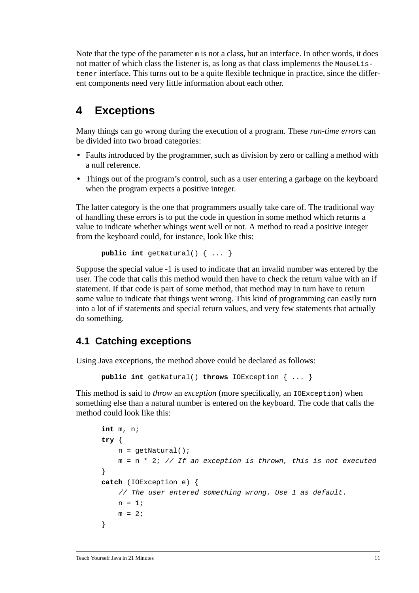Note that the type of the parameter m is not a class, but an interface. In other words, it does not matter of which class the listener is, as long as that class implements the MouseListener interface. This turns out to be a quite flexible technique in practice, since the different components need very little information about each other.

## **4 Exceptions**

Many things can go wrong during the execution of a program. These *run-time errors* can be divided into two broad categories:

- **•** Faults introduced by the programmer, such as division by zero or calling a method with a null reference.
- **•** Things out of the program's control, such as a user entering a garbage on the keyboard when the program expects a positive integer.

The latter category is the one that programmers usually take care of. The traditional way of handling these errors is to put the code in question in some method which returns a value to indicate whether whings went well or not. A method to read a positive integer from the keyboard could, for instance, look like this:

```
public int getNatural() { ... }
```
Suppose the special value -1 is used to indicate that an invalid number was entered by the user. The code that calls this method would then have to check the return value with an if statement. If that code is part of some method, that method may in turn have to return some value to indicate that things went wrong. This kind of programming can easily turn into a lot of if statements and special return values, and very few statements that actually do something.

## **4.1 Catching exceptions**

Using Java exceptions, the method above could be declared as follows:

**public int** getNatural() **throws** IOException { ... }

This method is said to *throw* an *exception* (more specifically, an IOException) when something else than a natural number is entered on the keyboard. The code that calls the method could look like this:

```
int m, n;
try {
   n = getNatural();
   m = n * 2; // If an exception is thrown, this is not executed
}
catch (IOException e) {
    // The user entered something wrong. Use 1 as default.
   n = 1;m = 2;
}
```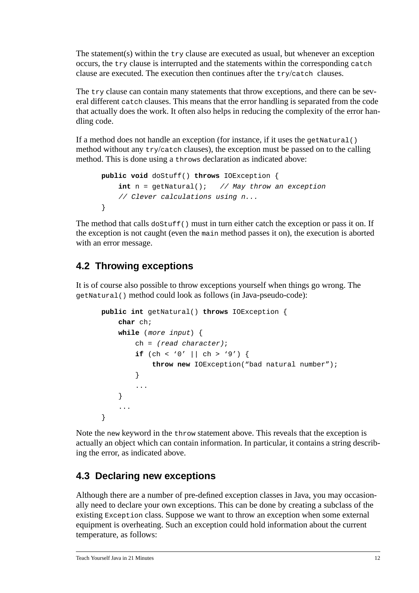The statement(s) within the try clause are executed as usual, but whenever an exception occurs, the try clause is interrupted and the statements within the corresponding catch clause are executed. The execution then continues after the try/catch clauses.

The try clause can contain many statements that throw exceptions, and there can be several different catch clauses. This means that the error handling is separated from the code that actually does the work. It often also helps in reducing the complexity of the error handling code.

If a method does not handle an exception (for instance, if it uses the getNatural() method without any try/catch clauses), the exception must be passed on to the calling method. This is done using a throws declaration as indicated above:

```
public void doStuff() throws IOException {
    int n = getNatural(); // May throw an exception
    // Clever calculations using n...
}
```
The method that calls  $\text{d}$  ostuff() must in turn either catch the exception or pass it on. If the exception is not caught (even the main method passes it on), the execution is aborted with an error message.

## **4.2 Throwing exceptions**

It is of course also possible to throw exceptions yourself when things go wrong. The getNatural() method could look as follows (in Java-pseudo-code):

```
public int getNatural() throws IOException {
    char ch;
    while (more input) {
         ch = (read character);
        if (ch < '0' || ch > '9') {
             throw new IOException("bad natural number");
         }
         ...
     }
     ...
}
```
Note the new keyword in the throw statement above. This reveals that the exception is actually an object which can contain information. In particular, it contains a string describing the error, as indicated above.

### **4.3 Declaring new exceptions**

Although there are a number of pre-defined exception classes in Java, you may occasionally need to declare your own exceptions. This can be done by creating a subclass of the existing Exception class. Suppose we want to throw an exception when some external equipment is overheating. Such an exception could hold information about the current temperature, as follows: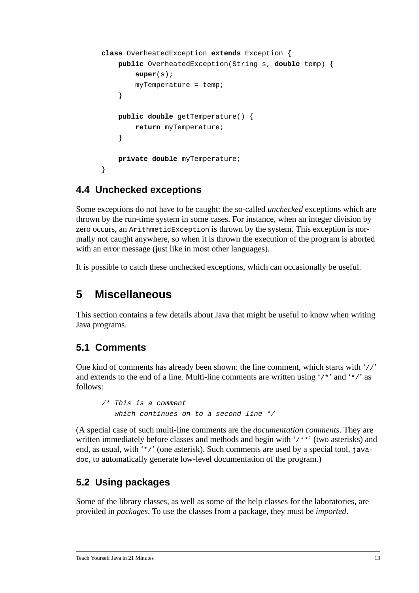```
class OverheatedException extends Exception {
    public OverheatedException(String s, double temp) {
        super(s);
         myTemperature = temp;
     }
    public double getTemperature() {
        return myTemperature;
     }
    private double myTemperature;
}
```
## **4.4 Unchecked exceptions**

Some exceptions do not have to be caught: the so-called *unchecked* exceptions which are thrown by the run-time system in some cases. For instance, when an integer division by zero occurs, an ArithmeticException is thrown by the system. This exception is normally not caught anywhere, so when it is thrown the execution of the program is aborted with an error message (just like in most other languages).

It is possible to catch these unchecked exceptions, which can occasionally be useful.

## **5 Miscellaneous**

This section contains a few details about Java that might be useful to know when writing Java programs.

### **5.1 Comments**

One kind of comments has already been shown: the line comment, which starts with '//' and extends to the end of a line. Multi-line comments are written using '/\*' and '\*/' as follows:

```
/* This is a comment
    which continues on to a second line */
```
(A special case of such multi-line comments are the *documentation comments*. They are written immediately before classes and methods and begin with '/\*\*' (two asterisks) and end, as usual, with  $\langle \cdot \rangle$  (one asterisk). Such comments are used by a special tool,  $\gamma$  javadoc, to automatically generate low-level documentation of the program.)

## **5.2 Using packages**

Some of the library classes, as well as some of the help classes for the laboratories, are provided in *packages*. To use the classes from a package, they must be *imported*.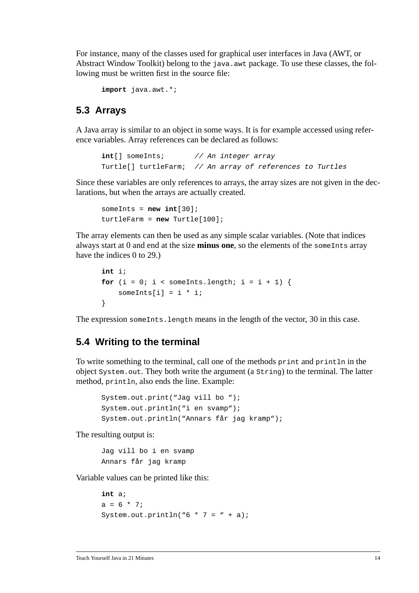For instance, many of the classes used for graphical user interfaces in Java (AWT, or Abstract Window Toolkit) belong to the java.awt package. To use these classes, the following must be written first in the source file:

```
import java.awt.*;
```
#### **5.3 Arrays**

A Java array is similar to an object in some ways. It is for example accessed using reference variables. Array references can be declared as follows:

```
int[] someInts; // An integer array
Turtle[] turtleFarm; // An array of references to Turtles
```
Since these variables are only references to arrays, the array sizes are not given in the declarations, but when the arrays are actually created.

```
someInts = new int[30];
turtleFarm = new Turtle[100];
```
The array elements can then be used as any simple scalar variables. (Note that indices always start at 0 and end at the size **minus one**, so the elements of the someInts array have the indices 0 to 29.)

```
int i;
for (i = 0; i < someInts.length; i = i + 1) {
    someInts[i] = i * i;
}
```
The expression someInts.length means in the length of the vector, 30 in this case.

### **5.4 Writing to the terminal**

To write something to the terminal, call one of the methods print and println in the object System.out. They both write the argument (a String) to the terminal. The latter method, println, also ends the line. Example:

```
System.out.print("Jag vill bo ");
System.out.println("i en svamp");
System.out.println("Annars får jag kramp");
```
The resulting output is:

Jag vill bo i en svamp Annars får jag kramp

Variable values can be printed like this:

```
int a;
a = 6 * 7;System.out.println("6 * 7 = " + a);
```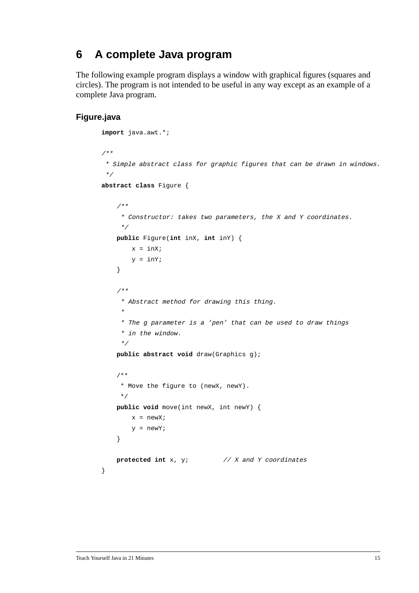## **6 A complete Java program**

The following example program displays a window with graphical figures (squares and circles). The program is not intended to be useful in any way except as an example of a complete Java program.

#### **Figure.java**

```
import java.awt.*;
/**
 * Simple abstract class for graphic figures that can be drawn in windows.
  */
abstract class Figure {
     /**
      * Constructor: takes two parameters, the X and Y coordinates.
      */
    public Figure(int inX, int inY) {
        x = \text{inx}y = \text{inv}; }
     /**
      * Abstract method for drawing this thing.
 *
      * The g parameter is a 'pen' that can be used to draw things
      * in the window.
      */
     public abstract void draw(Graphics g);
     /**
      * Move the figure to (newX, newY).
      */
    public void move(int newX, int newY) {
        x = newX;y = newY }
     protected int x, y; // X and Y coordinates
}
```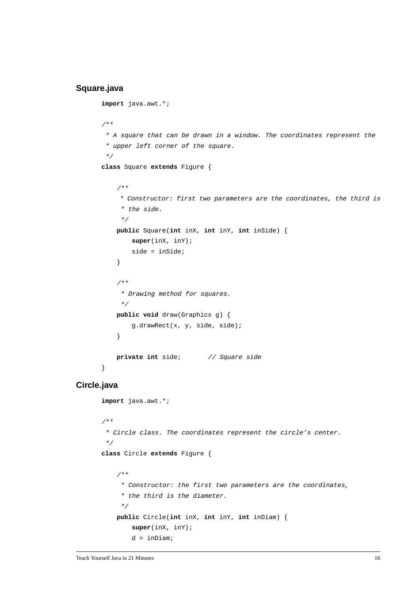#### **Square.java**

```
import java.awt.*;
       /**
         * A square that can be drawn in a window. The coordinates represent the
         * upper left corner of the square.
         */
      class Square extends Figure {
            /**
            * Constructor: first two parameters are the coordinates, the third is
             * the side.
             */
           public Square(int inX, int inY, int inSide) {
               super(inX, inY);
               side = inSide;
            }
            /**
             * Drawing method for squares.
             */
            public void draw(Graphics g) {
               g.drawRect(x, y, side, side);
            }
            private int side; // Square side
      }
Circle.java
      import java.awt.*;
       /**
         * Circle class. The coordinates represent the circle's center.
         */
      class Circle extends Figure {
```

```
 /**
  * Constructor: the first two parameters are the coordinates,
  * the third is the diameter.
  */
public Circle(int inX, int inY, int inDiam) {
    super(inX, inY);
    d = i nDiam;
```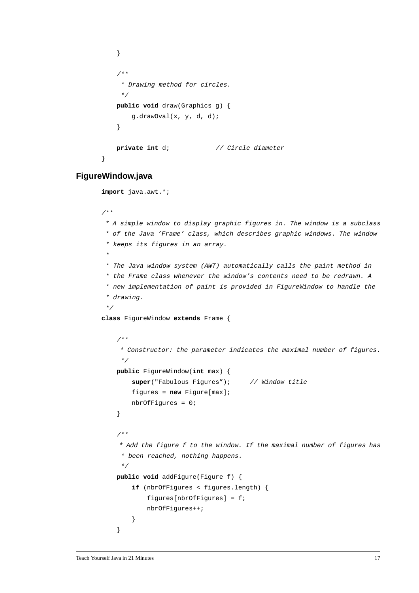```
 }
     /**
      * Drawing method for circles.
      */
   public void draw(Graphics g) {
       g.drawOval(x, y, d, d);
     }
   private int d; // Circle diameter
}
```
#### **FigureWindow.java**

**import** java.awt.\*;

```
/**
 * A simple window to display graphic figures in. The window is a subclass
 * of the Java 'Frame' class, which describes graphic windows. The window
  * keeps its figures in an array.
 *
  * The Java window system (AWT) automatically calls the paint method in
  * the Frame class whenever the window's contents need to be redrawn. A
  * new implementation of paint is provided in FigureWindow to handle the
  * drawing.
  */
class FigureWindow extends Frame {
     /**
     * Constructor: the parameter indicates the maximal number of figures.
      */
    public FigureWindow(int max) {
        super("Fabulous Figures"); // Window title
        figures = new Figure[max];
        nbrOfFigures = 0;
     }
     /**
     * Add the figure f to the window. If the maximal number of figures has
      * been reached, nothing happens.
      */
    public void addFigure(Figure f) {
        if (nbrOfFigures < figures.length) {
             figures[nbrOfFigures] = f;
             nbrOfFigures++;
        }
     }
```